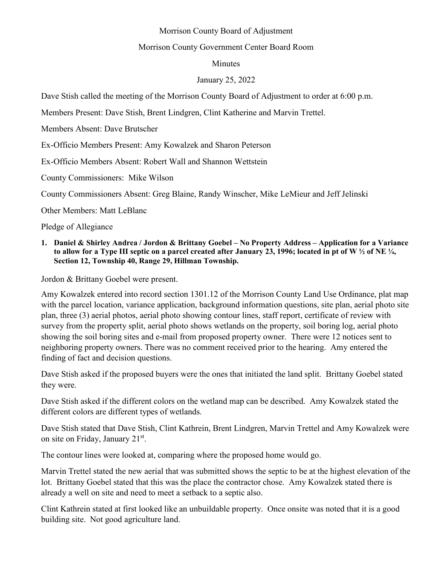## Morrison County Board of Adjustment

## Morrison County Government Center Board Room

## Minutes

## January 25, 2022

Dave Stish called the meeting of the Morrison County Board of Adjustment to order at 6:00 p.m.

Members Present: Dave Stish, Brent Lindgren, Clint Katherine and Marvin Trettel.

Members Absent: Dave Brutscher

Ex-Officio Members Present: Amy Kowalzek and Sharon Peterson

Ex-Officio Members Absent: Robert Wall and Shannon Wettstein

County Commissioners: Mike Wilson

County Commissioners Absent: Greg Blaine, Randy Winscher, Mike LeMieur and Jeff Jelinski

Other Members: Matt LeBlanc

Pledge of Allegiance

**1. Daniel & Shirley Andrea / Jordon & Brittany Goebel – No Property Address – Application for a Variance to allow for a Type III septic on a parcel created after January 23, 1996; located in pt of W ½ of NE ¼, Section 12, Township 40, Range 29, Hillman Township.** 

Jordon & Brittany Goebel were present.

Amy Kowalzek entered into record section 1301.12 of the Morrison County Land Use Ordinance, plat map with the parcel location, variance application, background information questions, site plan, aerial photo site plan, three (3) aerial photos, aerial photo showing contour lines, staff report, certificate of review with survey from the property split, aerial photo shows wetlands on the property, soil boring log, aerial photo showing the soil boring sites and e-mail from proposed property owner. There were 12 notices sent to neighboring property owners. There was no comment received prior to the hearing. Amy entered the finding of fact and decision questions.

Dave Stish asked if the proposed buyers were the ones that initiated the land split. Brittany Goebel stated they were.

Dave Stish asked if the different colors on the wetland map can be described. Amy Kowalzek stated the different colors are different types of wetlands.

Dave Stish stated that Dave Stish, Clint Kathrein, Brent Lindgren, Marvin Trettel and Amy Kowalzek were on site on Friday, January 21st.

The contour lines were looked at, comparing where the proposed home would go.

Marvin Trettel stated the new aerial that was submitted shows the septic to be at the highest elevation of the lot. Brittany Goebel stated that this was the place the contractor chose. Amy Kowalzek stated there is already a well on site and need to meet a setback to a septic also.

Clint Kathrein stated at first looked like an unbuildable property. Once onsite was noted that it is a good building site. Not good agriculture land.